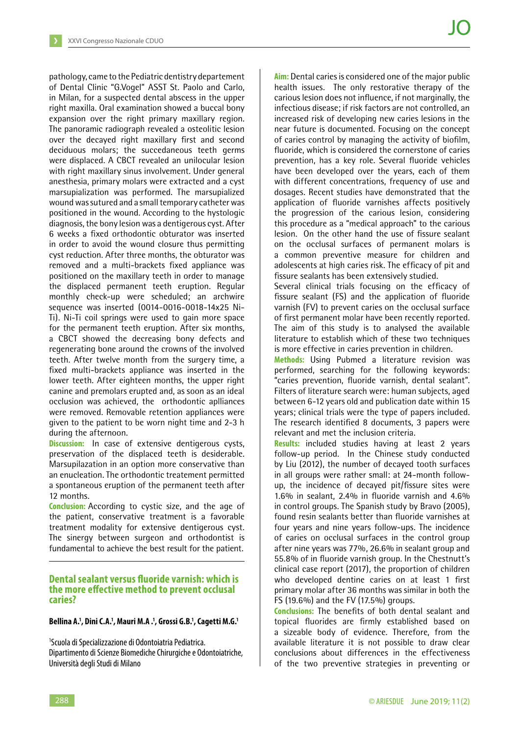pathology, came to the Pediatric dentistry departement of Dental Clinic "G.Vogel" ASST St. Paolo and Carlo, in Milan, for a suspected dental abscess in the upper right maxilla. Oral examination showed a buccal bony expansion over the right primary maxillary region. The panoramic radiograph revealed a osteolitic lesion over the decayed right maxillary first and second deciduous molars; the succedaneous teeth germs were displaced. A CBCT revealed an unilocular lesion with right maxillary sinus involvement. Under general anesthesia, primary molars were extracted and a cyst marsupialization was performed. The marsupialized wound was sutured and a small temporary catheter was positioned in the wound. According to the hystologic diagnosis, the bony lesion was a dentigerous cyst. After 6 weeks a fixed orthodontic obturator was inserted in order to avoid the wound closure thus permitting cyst reduction. After three months, the obturator was removed and a multi-brackets fixed appliance was positioned on the maxillary teeth in order to manage the displaced permanent teeth eruption. Regular monthly check-up were scheduled; an archwire sequence was inserted (0014-0016-0018-14x25 Ni-Ti). Ni-Ti coil springs were used to gain more space for the permanent teeth eruption. After six months, a CBCT showed the decreasing bony defects and regenerating bone around the crowns of the involved teeth. After twelve month from the surgery time, a fixed multi-brackets appliance was inserted in the lower teeth. After eighteen months, the upper right canine and premolars erupted and, as soon as an ideal occlusion was achieved, the orthodontic aplliances were removed. Removable retention appliances were given to the patient to be worn night time and 2-3 h during the afternoon.

**Discussion:** In case of extensive dentigerous cysts, preservation of the displaced teeth is desiderable. Marsupilazation in an option more conservative than an enucleation. The orthodontic treatement permitted a spontaneous eruption of the permanent teeth after 12 months.

**Conclusion:** According to cystic size, and the age of the patient, conservative treatment is a favorable treatment modality for extensive dentigerous cyst. The sinergy between surgeon and orthodontist is fundamental to achieve the best result for the patient.

## **Dental sealant versus fluoride varnish: which is the more effective method to prevent occlusal caries?**

#### **Bellina A.1 , Dini C.A.1 , Mauri M.A .1 , Grossi G.B.1 , Cagetti M.G.1**

1 Scuola di Specializzazione di Odontoiatria Pediatrica. Dipartimento di Scienze Biomediche Chirurgiche e Odontoiatriche, Università degli Studi di Milano

**Aim:** Dental caries is considered one of the major public health issues. The only restorative therapy of the carious lesion does not influence, if not marginally, the infectious disease; if risk factors are not controlled, an increased risk of developing new caries lesions in the near future is documented. Focusing on the concept of caries control by managing the activity of biofilm, fluoride, which is considered the cornerstone of caries prevention, has a key role. Several fluoride vehicles have been developed over the years, each of them with different concentrations, frequency of use and dosages. Recent studies have demonstrated that the application of fluoride varnishes affects positively the progression of the carious lesion, considering this procedure as a "medical approach" to the carious lesion. On the other hand the use of fissure sealant on the occlusal surfaces of permanent molars is a common preventive measure for children and adolescents at high caries risk. The efficacy of pit and fissure sealants has been extensively studied.

Several clinical trials focusing on the efficacy of fissure sealant (FS) and the application of fluoride varnish (FV) to prevent caries on the occlusal surface of first permanent molar have been recently reported. The aim of this study is to analysed the available literature to establish which of these two techniques is more effective in caries prevention in children.

**Methods:** Using Pubmed a literature revision was performed, searching for the following keywords: "caries prevention, fluoride varnish, dental sealant". Filters of literature search were: human subjects, aged between 6-12 years old and publication date within 15 years; clinical trials were the type of papers included. The research identified 8 documents, 3 papers were relevant and met the inclusion criteria.

**Results:** included studies having at least 2 years follow-up period. In the Chinese study conducted by Liu (2012), the number of decayed tooth surfaces in all groups were rather small: at 24-month followup, the incidence of decayed pit/fissure sites were 1.6% in sealant, 2.4% in fluoride varnish and 4.6% in control groups. The Spanish study by Bravo (2005), found resin sealants better than fluoride varnishes at four years and nine years follow-ups. The incidence of caries on occlusal surfaces in the control group after nine years was 77%, 26.6% in sealant group and 55.8% of in fluoride varnish group. In the Chestnutt's clinical case report (2017), the proportion of children who developed dentine caries on at least 1 first primary molar after 36 months was similar in both the FS (19.6%) and the FV (17.5%) groups.

**Conclusions:** The benefits of both dental sealant and topical fluorides are firmly established based on a sizeable body of evidence. Therefore, from the available literature it is not possible to draw clear conclusions about differences in the effectiveness of the two preventive strategies in preventing or